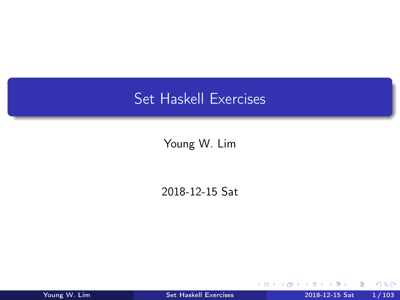## <span id="page-0-0"></span>Set Haskell Exercises

Young W. Lim

2018-12-15 Sat

4 0 8

舌 Young W. Lim [Set Haskell Exercises](#page-102-0) 2018-12-15 Sat 1/103

活

 $\sqrt{m}$   $\rightarrow$   $\sqrt{m}$   $\rightarrow$   $\sqrt{m}$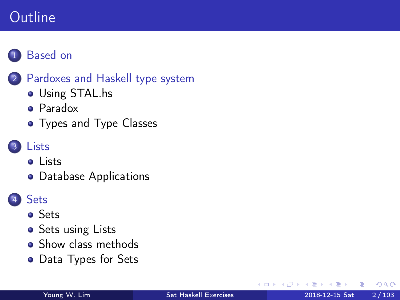## Outline



### 2 [Pardoxes and Haskell type system](#page-3-0)

- [Using STAL.hs](#page-3-0)
- [Paradox](#page-5-0)
- [Types and Type Classes](#page-13-0)

### **[Lists](#page-24-0)**

- o [Lists](#page-24-0)
- [Database Applications](#page-37-0)

### **[Sets](#page-51-0)**

- [Sets](#page-51-0)
- [Sets using Lists](#page-52-0)
- [Show class methods](#page-64-0)
- [Data Types for Sets](#page-84-0)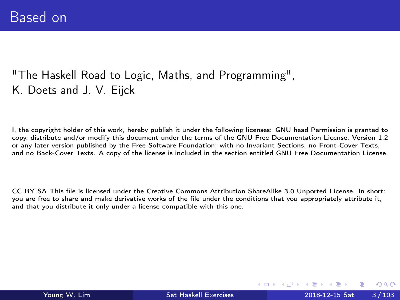### <span id="page-2-0"></span>"The Haskell Road to Logic, Maths, and Programming", K. Doets and J. V. Eijck

I, the copyright holder of this work, hereby publish it under the following licenses: GNU head Permission is granted to copy, distribute and/or modify this document under the terms of the GNU Free Documentation License, Version 1.2 or any later version published by the Free Software Foundation; with no Invariant Sections, no Front-Cover Texts, and no Back-Cover Texts. A copy of the license is included in the section entitled GNU Free Documentation License.

CC BY SA This file is licensed under the Creative Commons Attribution ShareAlike 3.0 Unported License. In short: you are free to share and make derivative works of the file under the conditions that you appropriately attribute it, and that you distribute it only under a license compatible with this one.

ミメスミ

( □ ) ( <sub>□</sub> ) (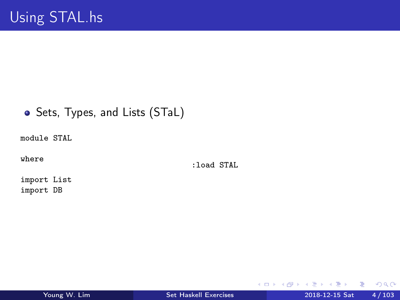### <span id="page-3-0"></span>• Sets, Types, and Lists (STaL)

module STAL

where

:load STAL

import List import DB

造

イロト イ押 トイヨ トイヨト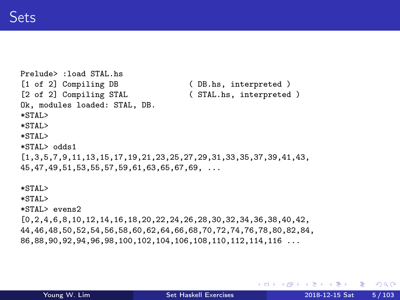```
Prelude> :load STAL.hs<br>[1 of 2] Compiling DB
[1 of 2] Compiling DB (DB.hs, interpreted )<br>[2 of 2] Compiling STAL (STAL.hs, interpreted
                                         (STAL.hs, interpreted)
Ok, modules loaded: STAL, DB.
*STAL>
*STAL>
*STAL>
*STAL> odds1
[1,3,5,7,9,11,13,15,17,19,21,23,25,27,29,31,33,35,37,39,41,43,
45,47,49,51,53,55,57,59,61,63,65,67,69, ...
*STAL>
*STAL>
*STAL> evens2
[0,2,4,6,8,10,12,14,16,18,20,22,24,26,28,30,32,34,36,38,40,42,
44,46,48,50,52,54,56,58,60,62,64,66,68,70,72,74,76,78,80,82,84,
86,88,90,92,94,96,98,100,102,104,106,108,110,112,114,116 ...
```
**KED KARD KED KED A BLOOM**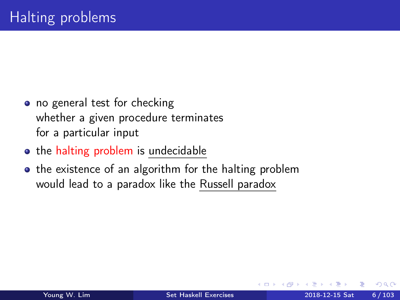- <span id="page-5-0"></span>• no general test for checking whether a given procedure terminates for a particular input
- the halting problem is undecidable
- the existence of an algorithm for the halting problem would lead to a paradox like the Russell paradox

 $\Omega$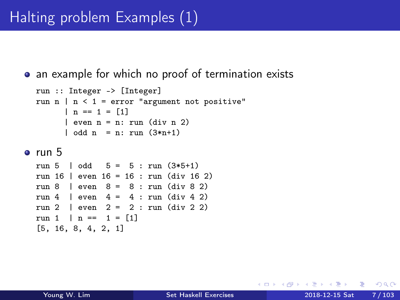# Halting problem Examples (1)

• an example for which no proof of termination exists

```
run :: Integer -> [Integer]
run n | n < 1 = error "argument not positive"
      | n == 1 = [1]| even n = n: run (div n 2)
      | odd n = n: run (3*n+1)
```
#### $^{\circ}$  run 5

run 5 | odd  $5 = 5 : run (3*5+1)$ run 16 | even 16 = 16 : run (div 16 2) run 8 | even 8 = 8 : run (div 8 2) run 4 | even  $4 = 4$  : run (div 4 2) run 2 | even  $2 = 2$  : run (div 2 2) run 1 | n ==  $1 = [1]$ [5, 16, 8, 4, 2, 1]

÷

 $\Omega$ 

∢何 ▶ ∢ ヨ ▶ ∢ ヨ ▶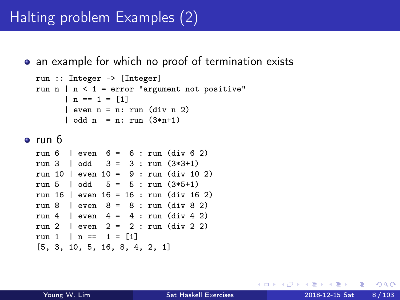## Halting problem Examples (2)

• an example for which no proof of termination exists

```
run :: Integer -> [Integer]
run n | n \leq 1 = error "argument not positive"
      | n == 1 = [1]| even n = n: run (div n 2)
      | odd n = n: run (3*n+1)
```
run 6

```
run 6 | even 6 = 6 : run (div 6 2)
run 3 | odd 3 = 3 : run (3*3+1)run 10 | even 10 = 9 : run (div 10 2)
run 5 | odd 5 = 5 : run (3*5+1)run 16 | even 16 = 16 : run (div 16 2)
run 8 | even 8 = 8 : run (div 8 2)
run 4 | even 4 = 4 : run (div 4 2)
run 2 \mid even \n2 = 2: run \text{(div 2 2)}run 1 | n == 1 = [1][5, 3, 10, 5, 16, 8, 4, 2, 1]
```
÷

 $QQ$ 

 $\sqrt{m}$  )  $\sqrt{m}$  )  $\sqrt{m}$  )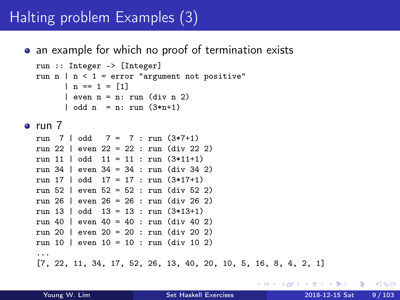## Halting problem Examples (3)

#### • an example for which no proof of termination exists

```
run :: Integer -> [Integer]
run n \mid n \leq 1 = error "argument not positive"
      | n == 1 = [1]| even n = n: run (div n 2)
      \vert odd n = n: run (3*n+1)
```
 $\bullet$  run  $7$ 

run 7 | odd  $7 = 7$  : run  $(3*7+1)$ run 22 | even 22 = 22 : run (div 22 2) run 11 | odd 11 = 11 : run (3\*11+1) run 34 | even 34 = 34 : run (div 34 2) run 17 | odd 17 = 17 : run (3\*17+1) run 52 | even 52 = 52 : run (div 52 2) run 26 | even 26 = 26 : run (div 26 2) run 13 | odd 13 = 13 : run (3\*13+1) run 40 | even 40 = 40 : run (div 40 2) run 20 | even 20 = 20 : run (div 20 2) run 10 | even 10 = 10 : run (div 10 2) ... [7, 22, 11, 34, 17, 52, 26, 13, 40, 20, 10, 5, 16, 8, 4, 2, 1]

 $\Omega$ ÷

イロト イ押ト イヨト イヨト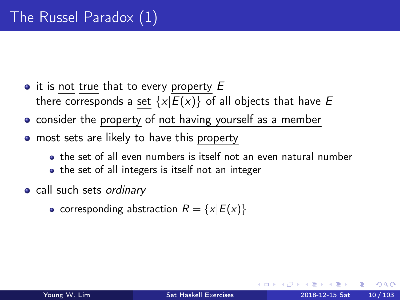- $\bullet$  it is not true that to every property  $E$ there corresponds a set  $\{x|E(x)\}\$  of all objects that have E
- consider the property of not having yourself as a member
- **•** most sets are likely to have this property
	- the set of all even numbers is itself not an even natural number
	- the set of all integers is itself not an integer
- call such sets ordinary
	- corresponding abstraction  $R = \{x | E(x)\}\$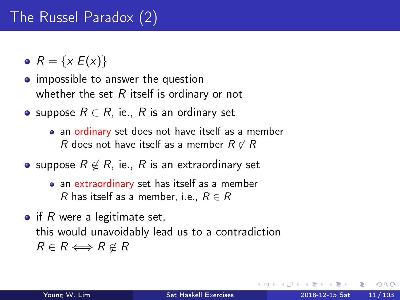# The Russel Paradox (2)

•  $R = \{x | E(x)\}\$ 

- impossible to answer the question whether the set  $R$  itself is ordinary or not
- suppose  $R \in R$ , ie., R is an ordinary set
	- an ordinary set does not have itself as a member R does not have itself as a member  $R \notin R$
- suppose  $R \notin R$ , ie., R is an extraordinary set
	- an extraordinary set has itself as a member R has itself as a member, i.e.,  $R \in R$
- $\bullet$  if R were a legitimate set, this would unavoidably lead us to a contradiction  $R \in R \Longleftrightarrow R \notin R$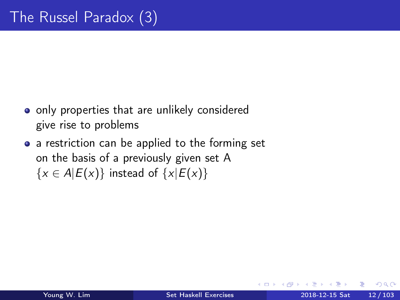- only properties that are unlikely considered give rise to problems
- a restriction can be applied to the forming set on the basis of a previously given set A  $\{x \in A | E(x)\}\$ instead of  $\{x | E(x)\}\$

 $\Omega$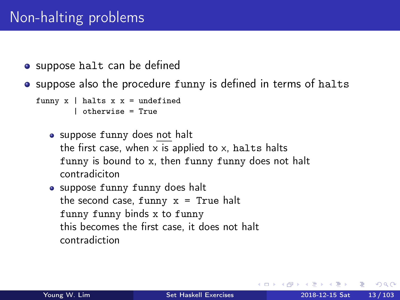# Non-halting problems

- suppose halt can be defined
- suppose also the procedure funny is defined in terms of halts

```
funny x | halts x x = undefined
        | otherwise = True
```
- suppose funny does not halt the first case, when  $x$  is applied to  $x$ , halts halts funny is bound to x, then funny funny does not halt contradiciton
- suppose funny funny does halt the second case, funny  $x = True$  halt funny funny binds x to funny this becomes the first case, it does not halt contradiction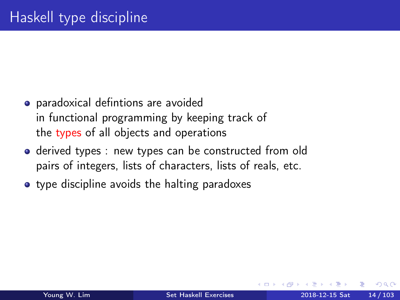- <span id="page-13-0"></span>paradoxical defintions are avoided in functional programming by keeping track of the types of all objects and operations
- derived types : new types can be constructed from old pairs of integers, lists of characters, lists of reals, etc.
- **•** type discipline avoids the halting paradoxes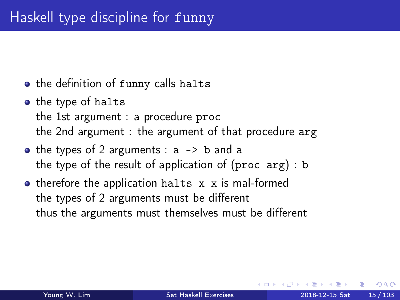# Haskell type discipline for funny

- the definition of funny calls halts
- **•** the type of halts the 1st argument : a procedure proc the 2nd argument : the argument of that procedure arg
- $\bullet$  the types of 2 arguments : a  $\rightarrow$  b and a the type of the result of application of (proc arg) : b
- therefore the application halts x x is mal-formed the types of 2 arguments must be different thus the arguments must themselves must be different

 $\Omega$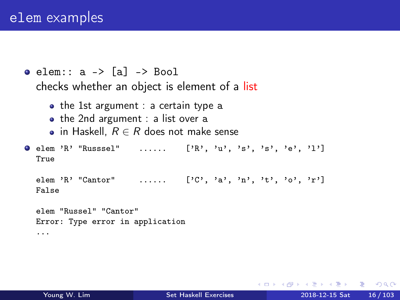```
\bullet elem:: a \rightarrow [a] \rightarrow Bool
   checks whether an object is element of a list
      \bullet the 1st argument : a certain type a
      \bullet the 2nd argument : a list over a
      • in Haskell, R \in R does not make sense
\bullet elem 'R' "Russsel" ...... ['R', 'u', 's', 's', 'e', 'l']
  True
   elem 'R' "Cantor" ...... [\cdot \text{C}', \cdot \text{a}', \cdot \text{n}', \cdot \text{t}', \cdot \text{o}', \cdot \text{r}']False
   elem "Russel" "Cantor"
   Error: Type error in application
```
...

э.

 $QQ$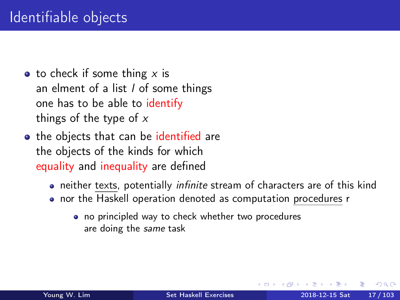- $\bullet$  to check if some thing x is an elment of a list  $l$  of some things one has to be able to identify things of the type of  $x$
- the objects that can be identified are the objects of the kinds for which equality and inequality are defined
	- neither texts, potentially *infinite* stream of characters are of this kind
	- nor the Haskell operation denoted as computation procedures r
		- no principled way to check whether two procedures are doing the same task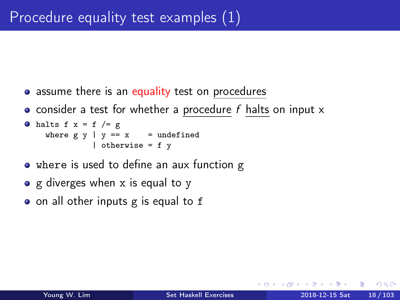- assume there is an equality test on procedures
- consider a test for whether a procedure f halts on input  $x$

```
• halts f x = f /= g
    where g \vee \mid y == x == undefined
               | otherwise = f y
```
- where is used to define an aux function g
- g diverges when x is equal to y
- on all other inputs g is equal to f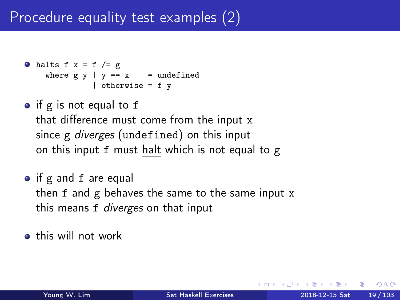```
• halts f x = f /= g
    where g \ y \ | \ y == x = undefined| otherwise = f y
```
- if g is not equal to f that difference must come from the input x since g *diverges* (undefined) on this input on this input f must halt which is not equal to g
- if g and f are equal then f and g behaves the same to the same input x this means f *diverges* on that input

**o** this will not work

つへへ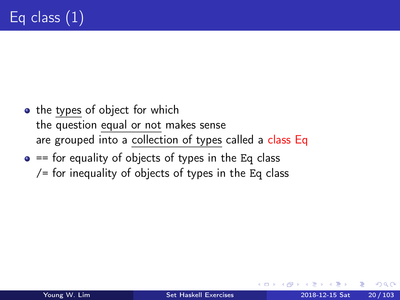- the types of object for which the question equal or not makes sense are grouped into a collection of types called a class Eq
- $\bullet$  == for equality of objects of types in the Eq class  $/$ = for inequality of objects of types in the Eq class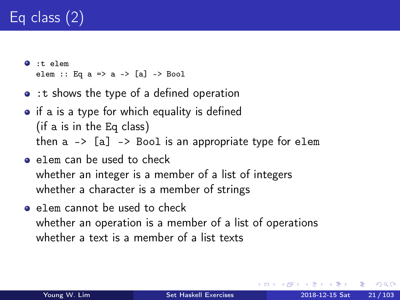# Eq class (2)

- $\bullet$ :t elem elem :: Eq a => a -> [a] -> Bool
- : t shows the type of a defined operation
- if a is a type for which equality is defined (if a is in the Eq class) then  $a \rightarrow [a] \rightarrow$  Bool is an appropriate type for elem
- elem can be used to check whether an integer is a member of a list of integers whether a character is a member of strings
- **e** elem cannot be used to check whether an operation is a member of a list of operations whether a text is a member of a list texts

つへへ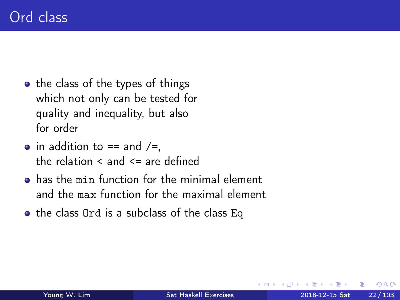- the class of the types of things which not only can be tested for quality and inequality, but also for order
- $\bullet$  in addition to == and /=, the relation  $\leq$  and  $\leq$  are defined
- has the min function for the minimal element and the max function for the maximal element
- the class Ord is a subclass of the class Eq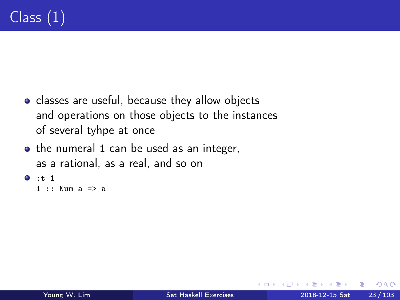- classes are useful, because they allow objects and operations on those objects to the instances of several tyhpe at once
- the numeral 1 can be used as an integer, as a rational, as a real, and so on

```
0:t 1
```

```
1 \cdot\cdot Num a \Rightarrow a
```
 $\Omega$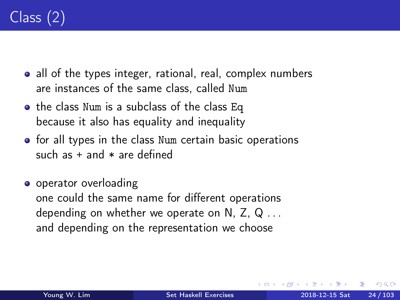- all of the types integer, rational, real, complex numbers are instances of the same class, called Num
- the class Num is a subclass of the class Eq because it also has equality and inequality
- **•** for all types in the class Num certain basic operations such as  $+$  and  $*$  are defined
- **o** operator overloading one could the same name for different operations depending on whether we operate on N, Z,  $Q \ldots$ and depending on the representation we choose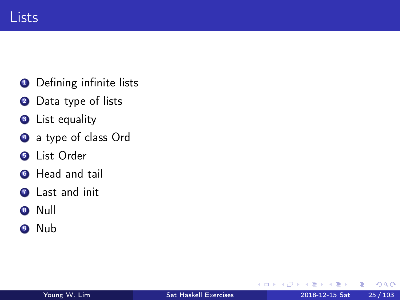<span id="page-24-0"></span>

- **O** Defining infinite lists
- <sup>2</sup> Data type of lists
- **3** List equality
- **4** a type of class Ord
- **6** List Order
- **6** Head and tail
- **2** Last and init
- <sup>8</sup> Null
- <sup>9</sup> Nub

4 0 8

 $\rightarrow$ 

э

 $QQ$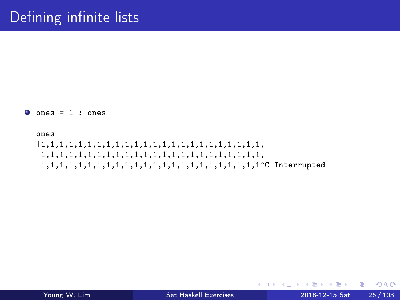$\bullet$  ones = 1 : ones

ones [1,1,1,1,1,1,1,1,1,1,1,1,1,1,1,1,1,1,1,1,1,1,1,1, 1,1,1,1,1,1,1,1,1,1,1,1,1,1,1,1,1,1,1,1,1,1,1,1, 1,1,1,1,1,1,1,1,1,1,1,1,1,1,1,1,1,1,1,1,1,1,1,1^C Interrupted

GB.

**K ロ ⊁ K 倒 ≯ K ミ ⊁ K ミ ≯** …

 $QQ$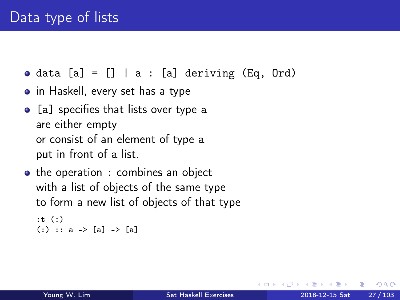- $\bullet$  data [a] = [] | a : [a] deriving (Eq, Ord)
- in Haskell, every set has a type
- [a] specifies that lists over type a are either empty or consist of an element of type a put in front of a list.
- the operation : combines an object with a list of objects of the same type to form a new list of objects of that type

```
:t (:)
(:): a \rightarrow [a] \rightarrow [a]
```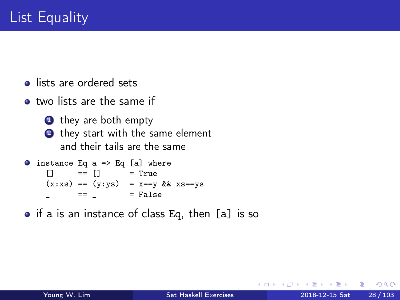- **o** lists are ordered sets
- **o** two lists are the same if
	- **1** they are both empty 2 they start with the same element and their tails are the same

```
\bullet instance Eq a => Eq [a] where
     \begin{bmatrix} 1 & =1 \end{bmatrix} = True
     (x:xs) = (y:ys) = x=vy & xs==ys
             == = False
```
• if a is an instance of class Eq, then [a] is so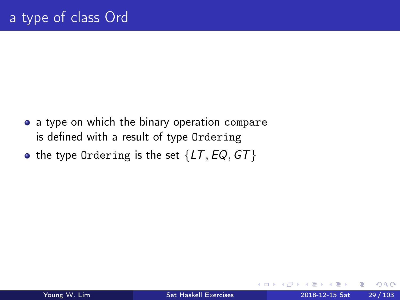- a type on which the binary operation compare is defined with a result of type Ordering
- the type Ordering is the set  ${LT, EQ, GT}$

 $\leftarrow$ 

 $\Omega$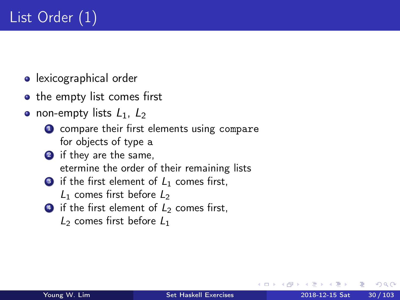- **o** lexicographical order
- the empty list comes first
- non-empty lists  $L_1$ ,  $L_2$ 
	- **1** compare their first elements using compare for objects of type a
	- 2 if they are the same, etermine the order of their remaining lists
	- $\bullet$  if the first element of  $L_1$  comes first,  $L_1$  comes first before  $L_2$
	- $\bullet$  if the first element of  $L_2$  comes first,  $L_2$  comes first before  $L_1$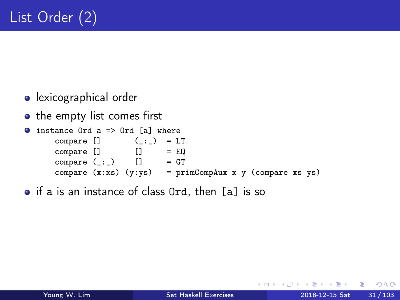- **o** lexicographical order
- the empty list comes first

```
instance 0rd a => 0rd [a] where
.
     compare [] ( : ) = LT
     compare [ ] [ ] = EQ
     compare (\_:\_) [] = GT
     compare (x:xs) (y:ys) = primCompAux x y (compare xs ys)
```
• if a is an instance of class Ord, then [a] is so

э

 $\Omega$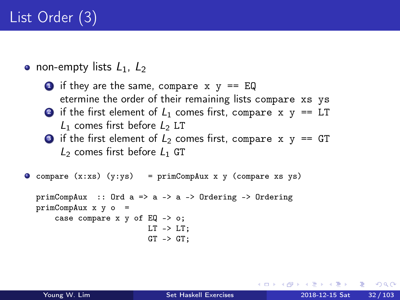• non-empty lists  $L_1$ ,  $L_2$ 

 $\bullet$  if they are the same, compare  $x \, y == EQ$ etermine the order of their remaining lists compare xs ys 2 if the first element of  $L_1$  comes first, compare x  $y == LT$ 

- $L_1$  comes first before  $L_2$  LT
- **3** if the first element of  $L_2$  comes first, compare x  $y == GT$  $L_2$  comes first before  $L_1$  GT

```
O compare (x:xs) (y:ys) = primCompAux x y (compare xs ys)
```

```
primCompAux :: Ord a => a -> a -> Ordering -> Ordering
primCompAux x y o =case compare x \ y of EQ \rightarrow o;
                           LT -> LT;
                           GT \rightarrow GT:
```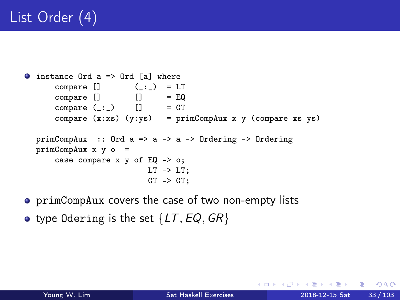```
\bullet instance Ord a => Ord [a] where
       compare \begin{bmatrix} 1 \\ 0 \end{bmatrix} (_:_) = LT
       compare [ ] [] = Eqcompare (-:) [] = GT
       compare (x:xs) (y:ys) = primCompAux x y (compare xs ys)
  primComplay :: Ord a => a => 0rdering => 0rderingprimCompAux x y o =
       case compare x y of EQ -> o;
                             LT \rightarrow LT:
                             GT \rightarrow GT:
```
- primCompAux covers the case of two non-empty lists
- type Odering is the set  $\{LT, EQ, GR\}$

4 D F

MAD → TEIN I → TEIN AGO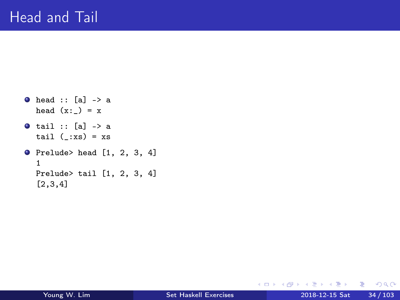```
\bullet head :: [a] -> a
  head (x:-) = x\bullet tail :: [a] -> a
  tail (\_:xs) = xs\bullet Prelude> head [1, 2, 3, 4]
  1
  Prelude> tail [1, 2, 3, 4]
  [2,3,4]
```
 $E = \Omega Q$ 

イロメ イ部 メイヨメ イヨメー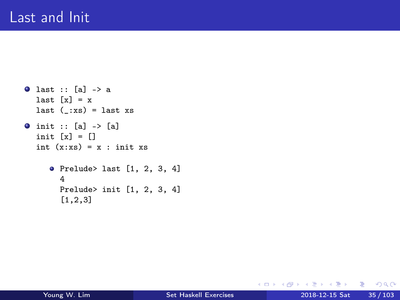```
\bullet last :: [a] -> a
  last [x] = xlast (\_:xs) = last xs
0 init :: [a] -> [a]init [x] = []
  int (x:xs) = x : init xsPrelude> last [1, 2, 3, 4]
       4
       Prelude> init [1, 2, 3, 4]
       [1,2,3]
```
K ロ ▶ K 個 ▶ K 로 ▶ K 로 ▶ - 로 - K 9 Q @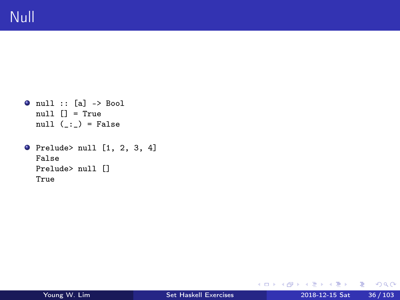- $\bullet$  null :: [a] -> Bool null [] = True null  $($ :  $)$  = False
- $\bullet$  Prelude> null [1, 2, 3, 4] False Prelude> null [] True

K ロ ▶ K 個 ▶ K 로 ▶ K 로 ▶ - 로 - K 9 Q @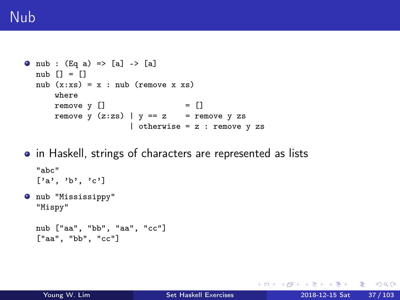# Nub

```
0 nub : (Eq a) => [a] -> [a]nub \lceil = \lceilnub (x:xs) = x : nub (remove x xs)where
      remove v \lceil = \rceilremove y (z:zs) | y == z = remove y zs
                      | otherwise = z : remove y zs
```
• in Haskell, strings of characters are represented as lists

```
"abc"
[1a', 1b', 1c']
```
 $\bullet$  nub "Mississippy" "Mispy"

```
nub ["aa", "bb", "aa", "cc"]
["aa", "bb", "cc"]
```
KED KARD KED KED E VOOR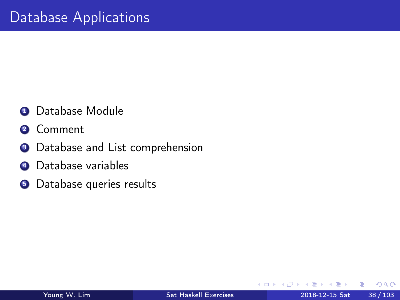- **4** Database Module
- **2** Comment
- <sup>3</sup> Database and List comprehension
- **4** Database variables
- **•** Database queries results

€⊡

э

 $\Omega$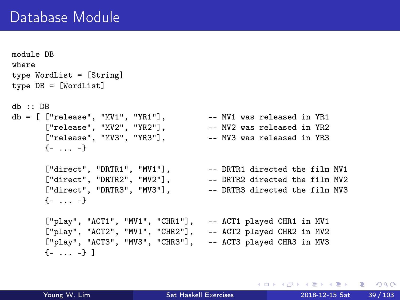```
module DB
where
type WordList = [String]
type DB = [WordList]
db :: DB
db = [ ["release", "MV1", "YR1"], --- MV1 was released in YR1
      ["release", "MV2", "YR2"], -- MV2 was released in YR2
      ["release", "MV3", "YR3"], -- MV3 was released in YR3
      \{- \ldots -\}["direct", "DRTR1", "MV1"], - DRTR1 directed the film MV1
      ["direct", "DRTR2", "MV2"], -- DRTR2 directed the film MV2
      ["direct", "DRTR3", "MV3"], - DRTR3 directed the film MV3
      \{-\, \ldots -\}["play", "ACT1", "MV1", "CHR1"], -- ACT1 played CHR1 in MV1
      ["play", "ACT2", "MV1", "CHR2"], -- ACT2 played CHR2 in MV2
      ["play", "ACT3", "MV3", "CHR3"], -- ACT3 played CHR3 in MV3
      \{-\ldots -\}]
```
K □ ▶ K @ ▶ K 로 ▶ K 로 ▶ 『로 → ⊙ Q ⊙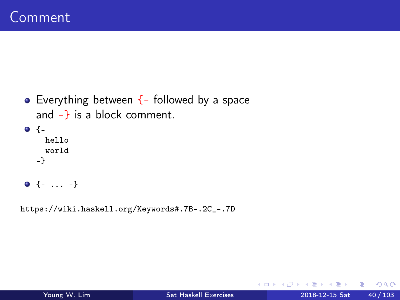```
• Everything between \{- followed by a space
  and -} is a block comment.
\bullet {-
    hello
    world
  -}
\bullet {- ... -}
```
https://wiki.haskell.org/Keywords#.7B-.2C\_-.7D

重

 $QQ$ 

**Bisk** 

4 D F

 $\leftarrow$   $\leftarrow$   $\leftarrow$   $\leftarrow$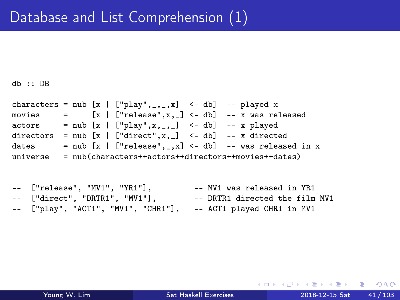$dh \cdot \cdot$  DR

characters = nub  $[x | ["play", ..., x]$  <- db] -- played x movies =  $[x | ["release", x, \_] < - db]$  -- x was released  $actors = nub [x | ['play", x, ..., ] <- db] -- x played$ directors = nub  $[x \mid [\text{`direct''}, x] \leq db]$  -- x directed dates = nub  $[x | ["release", \_, x] < - db]$  -- was released in x universe = nub(characters++actors++directors++movies++dates)

-- ["release", "MV1", "YR1"], -- MV1 was released in YR1 -- ["direct", "DRTR1", "MV1"], -- DRTR1 directed the film MV1 ["play", "ACT1", "MV1", "CHR1"], -- ACT1 played CHR1 in MV1

K □ ▶ K @ ▶ K 로 ▶ K 로 ▶ 『 콘 │ ⊙ Q ⊙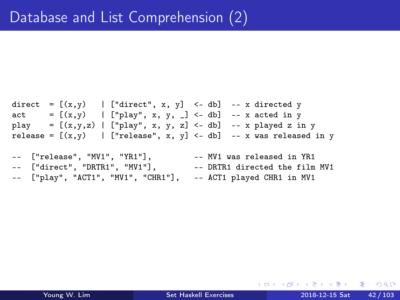```
direct = [(x,y) | ["direct", x, y] <- db] -- x directed y
act = [(x,y) | ["play", x, y, _] <- db] -- x acted in y
play = [(x,y,z) | ["play", x, y, z] < - db] -- x played z in y
release = [(x,y) | ["release", x, y] <- db] -- x was released in y
```
-- ["release", "MV1", "YR1"], -- MV1 was released in YR1 -- ["direct", "DRTR1", "MV1"], -- DRTR1 directed the film MV1 -- ["play", "ACT1", "MV1", "CHR1"], -- ACT1 played CHR1 in MV1

K □ ▶ K @ ▶ K 로 ▶ K 로 ▶ 『 콘 │ ⊙ Q ⊙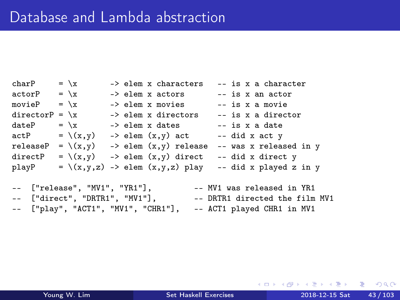charP =  $\xrightleftharpoonup x$  -> elem x characters -- is x a character  $actorP = \{x \rightarrow -\}$  elem x actors -- is x an actor movieP =  $\xrightleftharpoons$  -> elem x movies -- is x a movie directorP =  $\xrightarrows$  -> elem x directors -- is x a director dateP =  $\xrightleftharpoons$  -> elem x dates -- is x a date  $actP = \{(x,y) \rightarrow elem(x,y) \text{ act } -- \text{ did } x \text{ act } y$ releaseP =  $\{(x,y)$  -> elem  $(x,y)$  release -- was x released in y directP =  $\setminus$ (x,y) -> elem (x,y) direct -- did x direct y playP =  $\{(x,y,z) \rightarrow$  elem  $(x,y,z)$  play -- did x played z in y -- ["release", "MV1", "YR1"], -- MV1 was released in YR1

-- ["direct", "DRTR1", "MV1"], -- DRTR1 directed the film MV1 ["play", "ACT1", "MV1", "CHR1"], -- ACT1 played CHR1 in MV1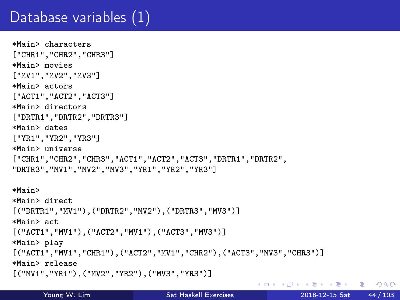# Database variables (1)

```
*Main> characters
["CHR1","CHR2","CHR3"]
*Main> movies
["MV1","MV2","MV3"]
*Main> actors
["ACT1","ACT2","ACT3"]
*Main> directors
["DRTR1","DRTR2","DRTR3"]
*Main> dates
["YR1","YR2","YR3"]
*Main> universe
["CHR1","CHR2","CHR3","ACT1","ACT2","ACT3","DRTR1","DRTR2",
"DRTR3","MV1","MV2","MV3","YR1","YR2","YR3"]
*Main>
*Main> direct
[("DRTR1","MV1"),("DRTR2","MV2"),("DRTR3","MV3")]
*Main> act
[("ACT1","MV1"),("ACT2","MV1"),("ACT3","MV3")]
*Main> play
[("ACT1","MV1","CHR1"),("ACT2","MV1","CHR2"),("ACT3","MV3","CHR3")]
*Main> release
[("MV1","YR1"),("MV2","YR2"),("MV3","YR3")]
```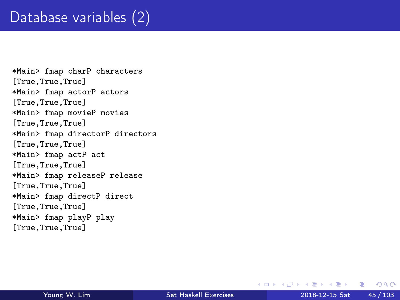# Database variables (2)

\*Main> fmap charP characters [True,True,True] \*Main> fmap actorP actors [True,True,True] \*Main> fmap movieP movies [True,True,True] \*Main> fmap directorP directors [True,True,True] \*Main> fmap actP act [True,True,True] \*Main> fmap releaseP release [True,True,True] \*Main> fmap directP direct [True,True,True] \*Main> fmap playP play [True,True,True]

D.

**≮ロト ⊀何 ト ⊀ ヨ ト ⊀ ヨ ト** ー

 $QQ$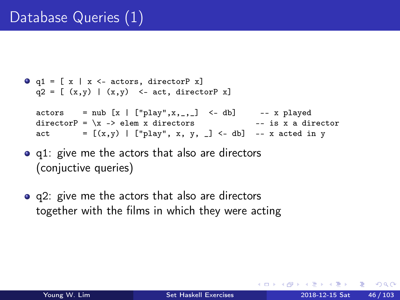```
\bullet q1 = [ x | x <- actors, directorP x]
  q2 = [ (x,y) | (x,y) \le - \text{act}, \text{ directorP } x]actors = nub [x | ["play",x,_,_] <- db] -- x played
  directorP = \xrightarrows -\neq elem x directors
  act = [(x,y) | ["play", x, y, ] < - db] -- x acted in y
```
- q1: give me the actors that also are directors (conjuctive queries)
- q2: give me the actors that also are directors together with the films in which they were acting

④ イコト イヨト → ヨー → コー → つ Q (^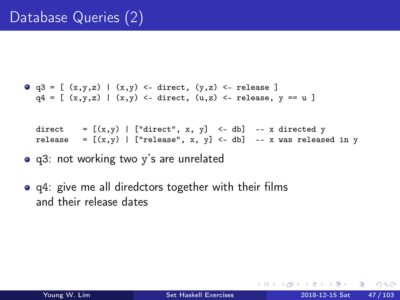```
\bullet q3 = [ (x,y,z) | (x,y) <- direct, (y,z) <- release ]
  q4 = [ (x,y,z) | (x,y) \leftarrow direct, (u,z) \leftarrow release, y == u ]
```
direct =  $[(x,y) |$  ["direct", x, y] <- db] -- x directed y release =  $[(x, y) |$  ["release", x, y] <- db] -- x was released in y

- q3: not working two y's are unrelated
- q4: give me all diredctors together with their films and their release dates

 $QQ$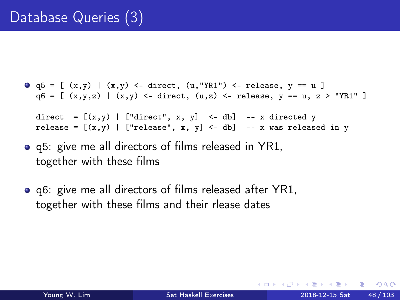```
\bullet q5 = [ (x,y) | (x,y) <- direct, (u,"YR1") <- release, y == u ]
  q6 = [ (x,y,z) | (x,y) \leftarrow direct, (u,z) \leftarrow release, y == u, z > "YR1" ]direct = [(x, y) | ["direct", x, y] <- db] -- x directed y
```

```
release = [(x,y) | ["release", x, y] <- db] -- x was released in y
```
- q5: give me all directors of films released in YR1, together with these films
- q6: give me all directors of films released after YR1, together with these films and their rlease dates

 $\Omega$ э.

 $\overline{AB}$  ) and  $\overline{B}$  ) and  $\overline{B}$  ) and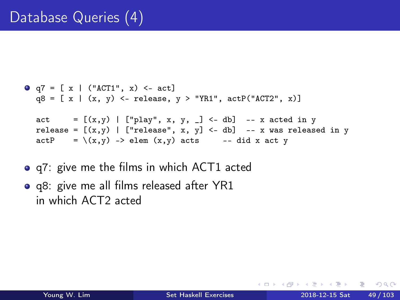```
\bullet q7 = [ x | ("ACT1", x) <- act]
  q8 = [ x | (x, y) \leftarrow release, y > "YR1", actP("ACT2", x)]act = [(x,y) | ["play", x, y, ] < - db] -- x acted in y
  release = [(x,y) | ["release", x, y] <- db] -- x was released in y
  actP = \{(x,y) \rightarrow elem(x,y) \text{ acts } -- \text{ did } x \text{ act } y
```
- **•** q7: give me the films in which ACT1 acted
- q8: give me all films released after YR1 in which ACT2 acted

 $\equiv$   $\Omega$ 

∢何 ▶ イヨ ▶ イヨ ▶ ○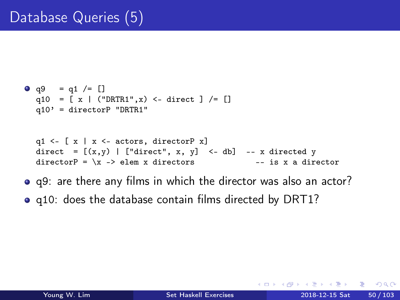```
• q9 = q1 / = []q10 = [x | ("DRTR1", x) <-direct ]/= []q10' = directorP "DRTR1"
  q1 \leftarrow [ x | x \leftarrow actors, directorP x]
  direct = [(x, y) | ["direct", x, y] <- db] -- x directed y
  directorP = \xrightleftharpoons elem x directors -- is x a director
```
- q9: are there any films in which the director was also an actor?
- q10: does the database contain films directed by DRT1?

 $\equiv$   $\Omega$ 

∢何 ▶ イヨ ▶ イヨ ▶ ○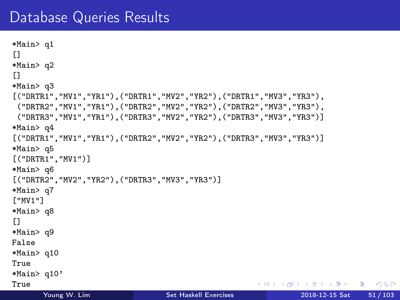### Database Queries Results

```
*Main> q1
[1]*Main> q2
[1]*Main> q3
[("DRTR1","MV1","YR1"),("DRTR1","MV2","YR2"),("DRTR1","MV3","YR3"),
 ("DRTR2","MV1","YR1"),("DRTR2","MV2","YR2"),("DRTR2","MV3","YR3"),
 ("DRTR3","MV1","YR1"),("DRTR3","MV2","YR2"),("DRTR3","MV3","YR3")]
*Main> q4
[("DRTR1","MV1","YR1"),("DRTR2","MV2","YR2"),("DRTR3","MV3","YR3")]
*Main> q5
[("DRTR1","MV1")]
*Main> q6
[("DRTR2","MV2","YR2"),("DRTR3","MV3","YR3")]
*Main> q7
["MV1"]
*Main> q8
[1]*Main> q9
False
*Main> q10
True
*Main> q10'
True
                                                       K □ ▶ K @ ▶ K 로 ▶ K 로 ▶ 『로 → ⊙ Q ⊙
```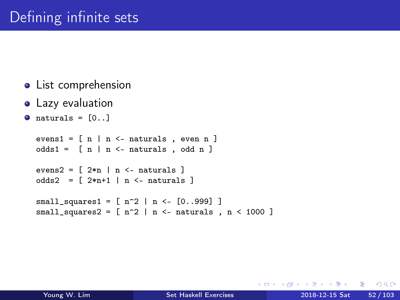- List comprehension
- **•** Lazy evaluation

```
\bullet naturals = [0, 1]
```

```
evens1 = [n | n \leftarrow naturals, even n ]
odds1 = [n | n \leftarrow naturals, odd n ]
evens2 = \lceil 2*n \rceil n <- naturals ]
odds2 = [2*n+1 | n \leftarrow naturals]small\_squares1 = [ n^2 | n < [0..999] ]small_squares2 = [n^2 | n < - naturals , n < 1000 ]
```
GH.  $QQ$ 

イ母 ト イヨ ト イヨ トー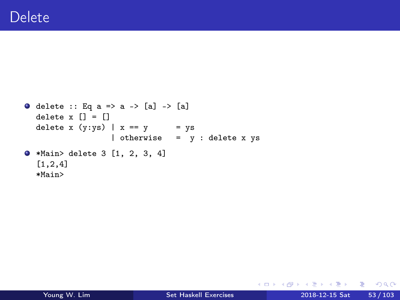```
O delete :: Eq a => a -> [a] -> [a]
  delete x [] = []delete x (y:ys) | x == y = ys
                 | otherwise = y : delete x ys
*Main> delete 3 [1, 2, 3, 4]
  [1,2,4]
  *Main>
```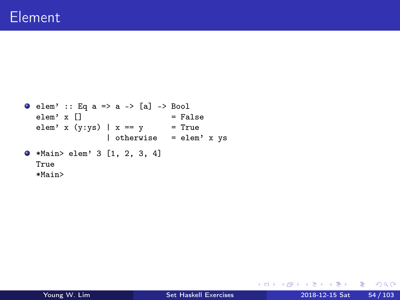```
\bullet elem' :: Eq a => a -> [a] -> Bool<br>elem' x [] = Fa
                               = False
  elem' x (y:ys) | x == y = True
                   | otherwise = elem' x ys
*Main> elem' 3 [1, 2, 3, 4]
  True
  *Main>
```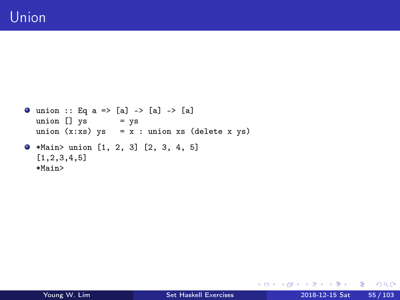```
\bullet union :: Eq a => [a] -> [a] -> [a]
  union [] ys = ys
  union (x:xs) ys = x : union xs (delete x ys)
*Main> union [1, 2, 3] [2, 3, 4, 5]
  [1,2,3,4,5]
  *Main>
```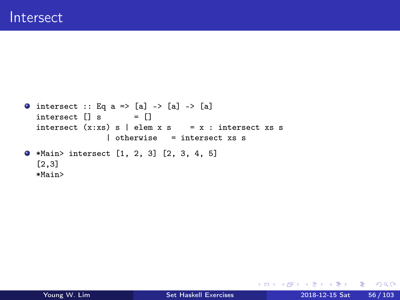```
\bullet intersect :: Eq a => [a] -> [a] -> [a]
  intersect [] s = []intersect (x:xs) s | elem x s = x : intersect xs s
                 | otherwise = intersect xs s
*Main> intersect [1, 2, 3] [2, 3, 4, 5]
  [2,3]
  *Main>
```
K ロ ▶ K @ ▶ K 할 ▶ K 할 ▶ 이 할 → 900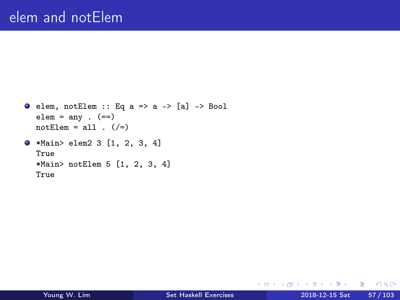```
\bullet elem, notElem :: Eq a => a -> [a] -> Bool
  elem = any . (=)notElem = all . \left( /=)
*Main> elem2 3 [1, 2, 3, 4]
  True
  *Main> notElem 5 [1, 2, 3, 4]
  True
```
イロト イ母 トイヨ トイヨ トー

 $E = \Omega Q$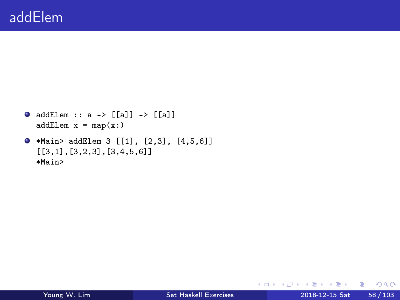```
\bullet addElem :: a -> [[a]] -> [[a]]
  addElement x = map(x:)
```

```
*Main> addElem 3 [[1], [2,3], [4,5,6]]
  [[3,1],[3,2,3],[3,4,5,6]]
  *Main>
```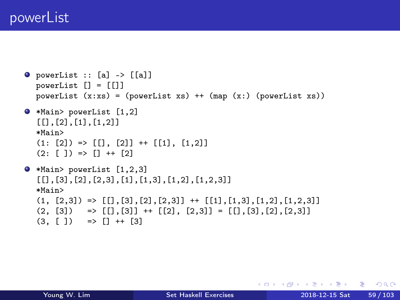## powerList

```
\bullet powerList :: [a] -> [[a]]
  powerList [] = []powerList (x:xs) = (powerList xs) ++ (map (x:) (powerList xs))*Main> powerList [1,2]
   [[],[2],[1],[1,2]]
  *Main>
  (1: [2]) \Rightarrow [[], [2]] + [[1], [1,2]](2: \lceil 1 \rceil) => \lceil 1 + \lceil 2 \rceil*Main> powerList [1,2,3]
   [[], [3], [2], [2,3], [1], [1,3], [1,2], [1,2,3]]*Main>
  (1, [2,3]) \Rightarrow [[], [3], [2], [2,3]] + [[1], [1,3], [1,2], [1,2,3]](2, [3]) \Rightarrow [1, [3]] \leftrightarrow [2], [2,3]] \equiv [1, [3], [2], [2,3]](3, [ ] ) => [ ] ++ [ 3 ]
```
KED KARD KED KED E YORA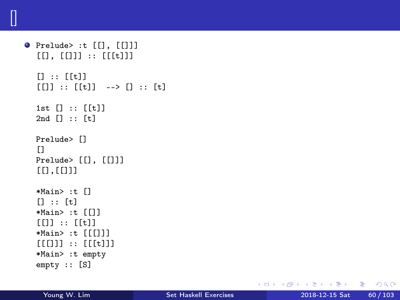```
\bullet Prelude> :t [[], [[]]]
  [[] , [[] ] : : [[[t]]] ][1 :: [ft]]
  [[]] :: [t]] ->> [] :: [t]1st [1::[[t]]2nd [] :: [t]
  Prelude> []
  [1]Prelude> [[], [[]]]
  [[],[[]]]
  *Main> :t []
  [] :: [t]*Main> :t [[]]
  [[]] :: [[t]]*Main> :t [[[]]]
  [[[[]]]] : [[[][]]]]
  *Main> :t empty
  empty :: [S]
```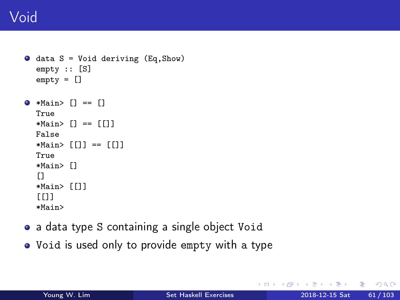```
\bullet data S = Void deriving (Eq, Show)
  empty :: [S]
  empty = []
```

```
\bullet *Main> [] = []True
  *Main> [] == [[]]
  False
  *Main > [1] = = [1]True
  *Main> []
  [[]
  *Main> [[]]
  [[]]*Main>
```
- a data type S containing a single object Void
- Void is used only to provide empty with a type

G.

 $QQ$ 

 $A \oplus B$   $A \oplus B$   $A \oplus B$ 

4 D F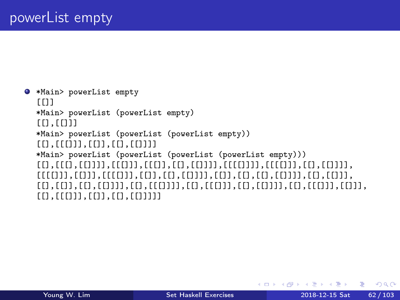```
*Main> powerList empty
  [[]]*Main> powerList (powerList empty)
  [[]]*Main> powerList (powerList (powerList empty))
  [[],[[[]]],[[]],[[],[[]]]]
  *Main> powerList (powerList (powerList (powerList empty)))
  [[],[[[],[[]]]],[[[]]],[[[]],[[],[[]]]],[[[[]]]],[[[[]]],[[],[[]]]],
  [[[[]]],[[]]],[[[[]]],[[]],[[],[[]]]],[[]],[[],[[],[[]]]],[[],[[]]],
  [[],[[]],[[],[[]]]],[[],[[[]]]],[[],[[[]]],[[],[[]]]],[[],[[[]]],[[]]],
  [[],[[[]]],[[]],[[],[[]]]]]
```
 $QQQ$ 

イロメ イ何 メイヨメ イヨメーヨー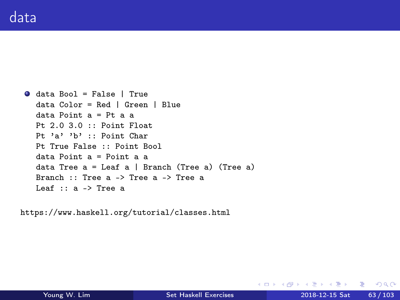```
data Bool = False | True
  data Color = Red | Green | Blue
  data Point a = Pt a a
  Pt 2.0 3.0 :: Point Float
  Pt 'a' 'b' :: Point Char
  Pt True False :: Point Bool
  data Point a = Point a a
  data Tree a = Leaf a \mid Branch (Tree a) (Tree a)
  Branch :: Tree a -> Tree a -> Tree a
  Leaf :: a -> Tree a
```
https://www.haskell.org/tutorial/classes.html

K □ ▶ K @ ▶ K 로 ▶ K 로 ▶ 『로 → ⊙ Q ⊙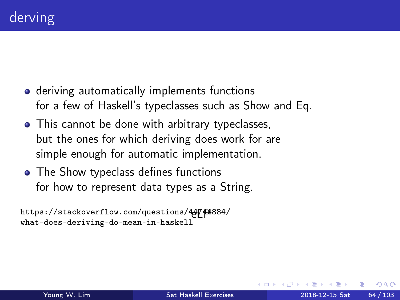- deriving automatically implements functions for a few of Haskell's typeclasses such as Show and Eq.
- This cannot be done with arbitrary typeclasses, but the ones for which deriving does work for are simple enough for automatic implementation.
- The Show typeclass defines functions for how to represent data types as a String.

```
https://stackoverflow.com/questions/44744884/
what-does-deriving-do-mean-in-haskell
```
 $\Omega$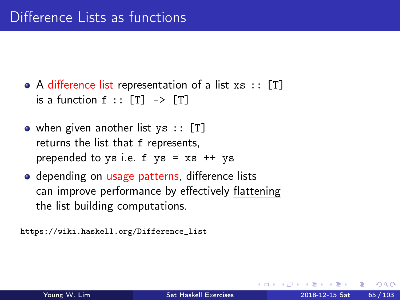• A difference list representation of a list  $xs :: [T]$ is a function  $f : : [T] \rightarrow [T]$ 

- when given another list  $\forall s : [T]$ returns the list that f represents, prepended to ys i.e.  $f$  ys =  $xs$  ++ ys
- depending on usage patterns, difference lists can improve performance by effectively flattening the list building computations.

https://wiki.haskell.org/Difference\_list

 $\Omega$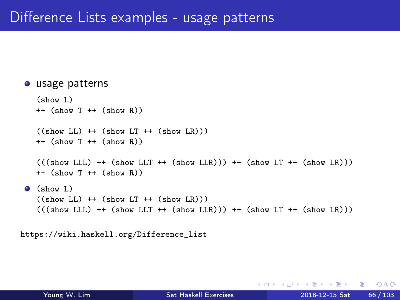#### usage patterns

```
(show L)
  ++ (show T ++ (show R))
  ((show LL) ++ (show LT ++ (show LR)))++ (show T ++ (show R))
  (((show LLL) ++ (show LLT ++ (show LR))) ++ (show LR))++ (show T ++ (show R))
(show L)
  ((show LL) ++ (show LT ++ (show LR)))(((show LLL) ++ (show LLT ++ (show LR))) ++ (show LR))
```

```
https://wiki.haskell.org/Difference_list
```
÷

 $QQ$ 

 $\sqrt{m}$  )  $\sqrt{m}$  )  $\sqrt{m}$  )

4 D F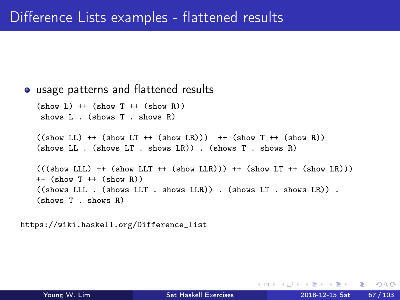```
• usage patterns and flattened results
  (\text{show L}) ++ (\text{show T ++ } (\text{show R}))shows L . (shows T . shows R)
  ((show LL) ++ (show LT ++ (show LR))) ++ (show T ++ (show R))(shows LL . (shows LT . shows LR)) . (shows T . shows R)
  (((show LLL) ++ (show LLT ++ (show LLR))) ++ (show LT ++ (show LR)))++ (show T ++ (show R))
  ((shows LLL. (shows LLT. shows LLR)). (shows LF.)(shows T . shows R)
```

```
https://wiki.haskell.org/Difference_list
```
 $QQ$ 

∢伺 ▶ ∢ ヨ ▶ ∢ ヨ ▶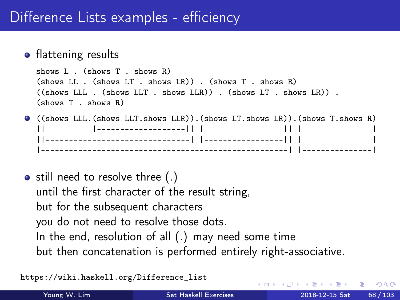#### • flattening results

```
shows L . (shows T . shows R)
(shows LL . (shows LT . shows LR)) . (shows T . shows R)
((shows LLL. (shows LLT. shows LLR)). (shows LR).
(shows T . shows R)
```
- ((shows LLL.(shows LLT.shows LLR)).(shows LT.shows LR)).(shows T.shows R) || |-------------------|| | || | | ||-------------------------------| |-----------------|| | | |-----------------------------------------------------| |---------------|
- $\bullet$  still need to resolve three (.) until the first character of the result string, but for the subsequent characters you do not need to resolve those dots. In the end, resolution of all (.) may need some time but then concatenation is performed entirely right-associative.

https://wiki.haskell.org/Difference\_list

э.

 $\Omega$ 

メロメ メ御 トメ ミメ メ ミメー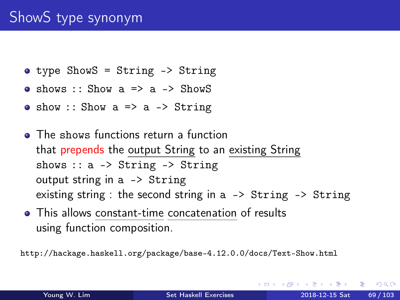# ShowS type synonym

- type ShowS = String -> String
- $\bullet$  shows :: Show a => a -> ShowS
- show :: Show  $a \Rightarrow a \Rightarrow$  String
- The shows functions return a function that prepends the output String to an existing String shows :: a -> String -> String output string in a -> String existing string : the second string in a -> String -> String
- This allows constant-time concatenation of results using function composition.

http://hackage.haskell.org/package/base-4.12.0.0/docs/Text-Show.html

э.

 $QQ$ 

イ何 トイヨ トイヨ トー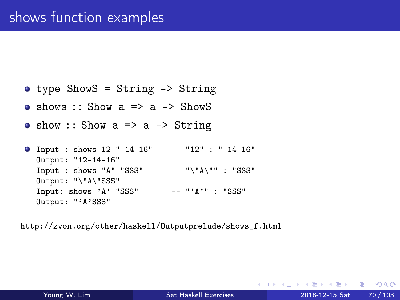```
type ShowS = String -> String
```
- $\bullet$  shows :: Show a => a -> ShowS
- show :: Show  $a \Rightarrow a \Rightarrow$  String

Input : shows 12 "-14-16" -- "12" : "-14-16" Output: "12-14-16" Input : shows "A" "SSS"  $---$  " $\N^n$ A $\N$ " : "SSS" Output: "\"A\"SSS" Input: shows 'A' "SSS"  $--- "A"$ : "SSS" Output: "'A'SSS"

http://zvon.org/other/haskell/Outputprelude/shows\_f.html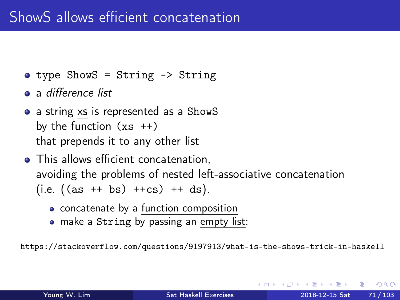- type ShowS = String -> String
- a difference list
- a string xs is represented as a ShowS by the function  $(xs +)$ that prepends it to any other list
- This allows efficient concatenation, avoiding the problems of nested left-associative concatenation  $(i.e. ((as +*b*s) +*c*s) +*d*s).$ 
	- concatenate by a function composition
	- make a String by passing an empty list:

https://stackoverflow.com/questions/9197913/what-is-the-shows-trick-in-haskell

 $200$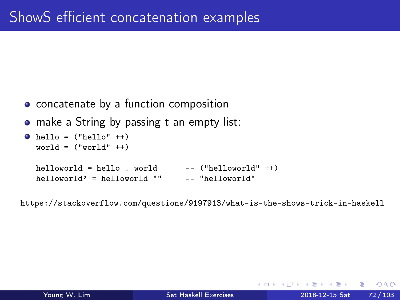- concatenate by a function composition
- make a String by passing t an empty list:

```
\bullet hello = ("hello" ++)
   world = ("world" ++)helloworld = hello . world - ("helloworld" ++)<br>helloworld' = helloworld "" - "helloworld"
   h = \frac{1}{w}
```
https://stackoverflow.com/questions/9197913/what-is-the-shows-trick-in-haskell

 $QQ$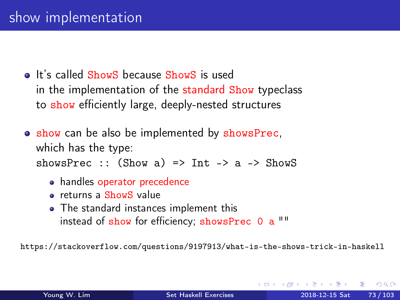- It's called ShowS because ShowS is used in the implementation of the standard Show typeclass to show efficiently large, deeply-nested structures
- show can be also be implemented by showsPrec, which has the type: showsPrec :: (Show a) => Int -> a -> ShowS
	- handles operator precedence
	- **e** returns a ShowS value
	- The standard instances implement this instead of show for efficiency; showsPrec 0 a ""

https://stackoverflow.com/questions/9197913/what-is-the-shows-trick-in-haskell

 $200$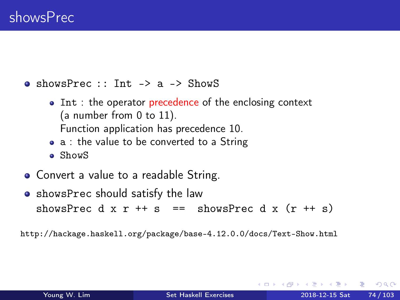$\bullet$  showsPrec :: Int -> a -> ShowS

- Int : the operator precedence of the enclosing context (a number from 0 to 11). Function application has precedence 10.
- a : the value to be converted to a String
- ShowS
- Convert a value to a readable String.
- **•** showsPrec should satisfy the law showsPrec d x r ++ s == showsPrec d x  $(r + s)$

http://hackage.haskell.org/package/base-4.12.0.0/docs/Text-Show.html

 $\Omega$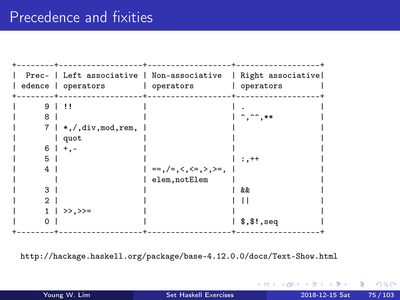#### Precedence and fixities



http://hackage.haskell.org/package/base-4.12.0.0/docs/Text-Show.html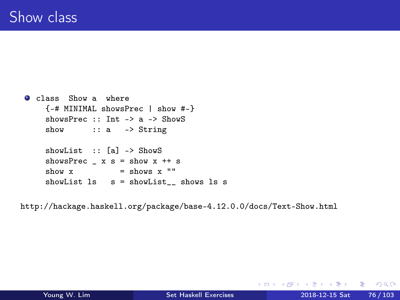```
O class Show a where
   {-# MINIMAL showsPrec | show #-}
   showsPrec :: Int -> a -> ShowS
   show :: a -> String
   showList :: [a] -> ShowS
   showsPrec x s = show x ++ s
   show x = shows x ""
   showList ls = showList shows ls s
```
http://hackage.haskell.org/package/base-4.12.0.0/docs/Text-Show.html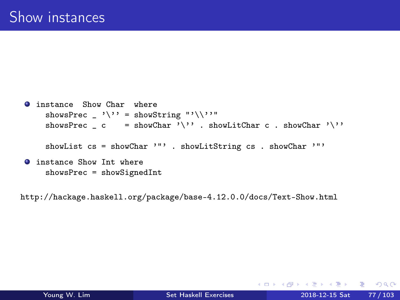```
O instance Show Char where
    showsPrec _ '\'' = showString "'\\''"
    showsPrec _ c = showChar '\'' . showLitChar c . showChar '\''
    showList cs = showChar '"' . showLitString cs . showChar '"'
O instance Show Int where
    showsPrec = showSignedInt
```
http://hackage.haskell.org/package/base-4.12.0.0/docs/Text-Show.html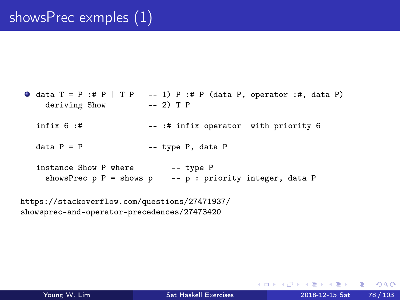$\bullet$  data T = P :# P | T P -- 1) P :# P (data P, operator :#, data P) deriving Show -- 2) T P infix  $6$  :#  $-$  :# infix operator with priority  $6$ data  $P = P$  -- type P, data P instance Show P where -- type P showsPrec  $p$  P = shows  $p$  --  $p$  : priority integer, data P

https://stackoverflow.com/questions/27471937/ showsprec-and-operator-precedences/27473420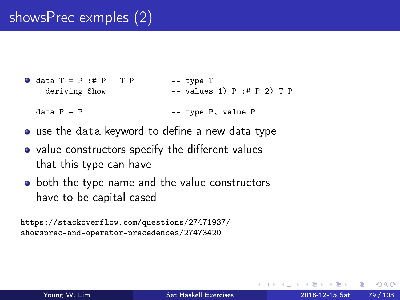```
\bullet data T = P :# P | T P -- type T
   deriving Show -- values 1) P :# P 2) T P
 data P = P -- type P, value P
```
- use the data keyword to define a new data type
- value constructors specify the different values that this type can have
- both the type name and the value constructors have to be capital cased

https://stackoverflow.com/questions/27471937/ showsprec-and-operator-precedences/27473420

 $\Omega$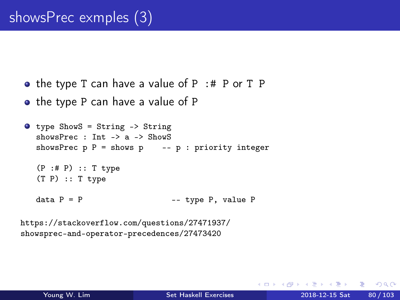- the type T can have a value of  $P$  :# P or T P
- the type P can have a value of P

```
type ShowS = String -> String
  showsPrec : Int -> a -> ShowSshowsPrec p P = shows p -- p : priority integer
  (P :# P) :: T type
  (T P) :: T type
  data P = P -- type P, value P
```
https://stackoverflow.com/questions/27471937/ showsprec-and-operator-precedences/27473420

э.

 $QQ$ 

イ何 ト イヨ ト イヨ トー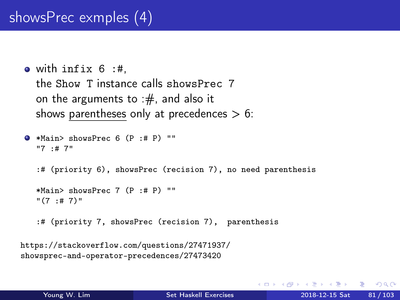```
\bullet with infix 6 :#.
  the Show T instance calls showsPrec 7
  on the arguments to :\#, and also it
  shows parentheses only at precedences > 6:
```

```
\bullet *Main> showsPrec 6 (P :# P) ""
  "7 :# 7"
  :# (priority 6), showsPrec (recision 7), no need parenthesis
  *Main> showsPrec 7 (P :# P) ""
  ''(7 + 17):# (priority 7, showsPrec (recision 7), parenthesis
```

```
https://stackoverflow.com/questions/27471937/
showsprec-and-operator-precedences/27473420
```
 $QQ$ 

 $\sqrt{m}$  )  $\sqrt{m}$  )  $\sqrt{m}$  )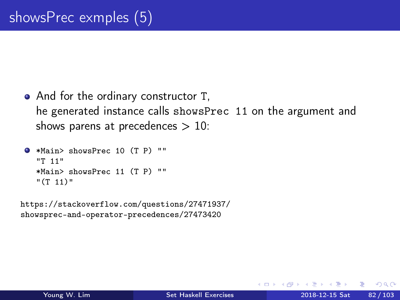• And for the ordinary constructor T, he generated instance calls showsPrec 11 on the argument and shows parens at precedences  $> 10$ :

```
*Main> showsPrec 10 (T P) ""
  "T 11"
  *Main> showsPrec 11 (T P) ""
  "(T 11)"
```
https://stackoverflow.com/questions/27471937/ showsprec-and-operator-precedences/27473420

 $\Omega$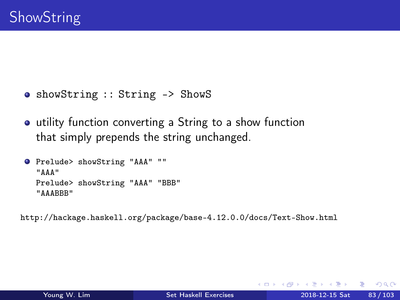- showString :: String -> ShowS
- utility function converting a String to a show function that simply prepends the string unchanged.

```
Prelude> showString "AAA" ""
  "AAA"
  Prelude> showString "AAA" "BBB"
  "AAABBB"
```
http://hackage.haskell.org/package/base-4.12.0.0/docs/Text-Show.html

э.

 $QQ$ 

イ押 トイヨ トイヨ トー

4 D F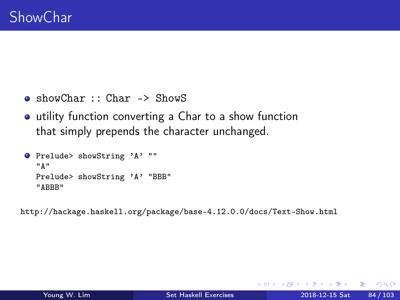- showChar :: Char -> ShowS
- utility function converting a Char to a show function that simply prepends the character unchanged.

```
Prelude> showString 'A' ""
  "A"
  Prelude> showString 'A' "BBB"
  "ABBB"
```
http://hackage.haskell.org/package/base-4.12.0.0/docs/Text-Show.html

÷

 $QQ$ 

 $\mathcal{A} \cap \mathcal{B} \rightarrow \mathcal{A} \Rightarrow \mathcal{B} \rightarrow \mathcal{A} \Rightarrow$ 

4 D F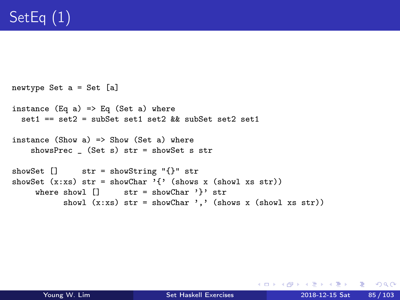```
newtype Set a = Set [a]
instance (Eq a) \Rightarrow Eq (Set a) where
  set1 == set2 = subSet 1 set1 set2 \&subSet 1 set2 set1
instance (Show a) \Rightarrow Show (Set a) whereshowsPrec _ (Set s) str = showSet s str
showSet [] str = showString "{}" str
showSet (x:xs) str = showChar '{' (shows x (showl xs str))
     where showl [] str = showChar '}' str
           showl (x:xs) str = showChar ',' (shows x (showl xs str))
```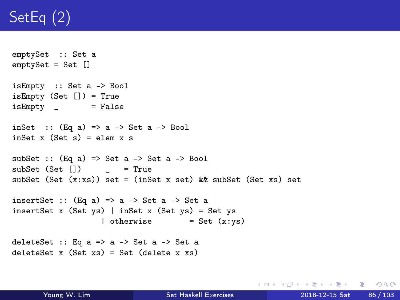# SetEq (2)

```
emptySet :: Set a
emptySet = Set []
isEmpty :: Set a -> Bool
isEmpty (Set []) = True
isEmpty = False
inSet :: (Eq a) \Rightarrow a \Rightarrow Set a \Rightarrow Bool
inSet x (Set s) = elem x ssubSet :: (Eq a) \Rightarrow Set a \rightarrow Set a \rightarrow Bool
subSet (Set []) _ = True
subSet (Set (x:xs)) set = (inSet x set) && subSet (Set xs) set
insertSet :: (Eq a) \Rightarrow a \Rightarrow Set a \Rightarrow Set a
insertSet x (Set ys) | inSet x (Set ys) = Set ys
                      | otherwise = Set (x:ys)deleteSet :: Eq a \Rightarrow a \Rightarrow Set a \Rightarrow Set a
deleteSet x (Set xs) = Set (delete x xs)
```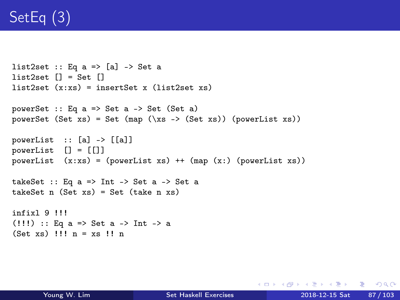# SetEq (3)

```
list2set :: Eq a \Rightarrow [a] \Rightarrow Set a
list2set [] = Set []
list2set (x:xs) = insertSet x (list2set xs)powerSet :: Eq a => Set a -> Set (Set a)
powerSet (Set xs) = Set (map (\x s \rightarrow \text{Set xs}) (powerList xs))
powerList :: [a] -> [[a]]
powerList [1] = [1]powerList (x:xs) = (powerList xs) ++ (map (x:) (powerList xs))takeSet :: Eq a => Int -> Set a -> Set a
takeSet n (Set xs) = Set (take n xs)infixl 9 !!!
(!!!) :: Eq a => Set a -> Int -> a
(Set xs) !!! n = xs !! n
```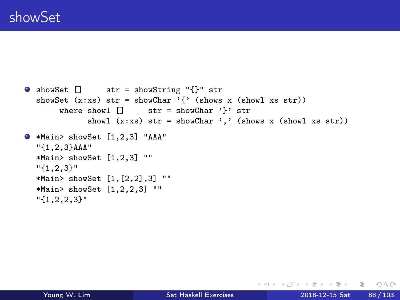```
showSet [] str = showString "{}" str
  showSet (x:xs) str = showChar '{' (shows x (showl xs str))
        where showl \begin{bmatrix} 1 \\ 2 \end{bmatrix} str = showChar '}' str
              showl (x:xs) str = showChar ',' (shows x (showl xs str))
\bullet *Main> showSet [1,2,3] "AAA"
  "{1,2,3}AAA"
  *Main> showSet [1,2,3] ""
  "{1,2,3}"
  *Main> showSet [1,[2,2],3] ""
  *Main> showSet [1,2,2,3] ""
  "{1,2,2,3}"
```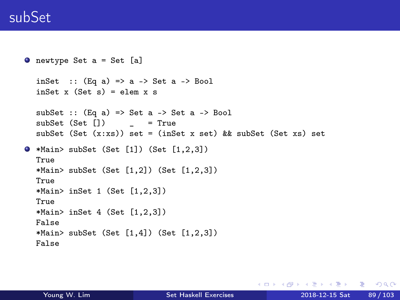#### subSet

```
\bullet newtype Set a = Set [a]
  inSet :: (Eq a) \Rightarrow a \Rightarrow Set a \Rightarrow Bool
  inset x (Set s) = elem x s
  subSet :: (Eq a) \Rightarrow Set a \rightarrow Set a \rightarrow Bool
  subSet (Set [1) = True
  subSet (Set (x:xs)) set = (inSet x set) && subSet (Set xs) set
\bullet *Main> subSet (Set [1]) (Set [1,2,3])
  True
  *Main> subSet (Set [1,2]) (Set [1,2,3])
  True
  *Main> inSet 1 (Set [1,2,3])
  True
  *Main> inSet 4 (Set [1,2,3])
  False
  *Main > subSet (Set [1,4]) (Set [1,2,3])
  False
```
K □ ▶ K @ ▶ K 로 ▶ K 로 ▶ 『 콘 │ ⊙ Q ⊙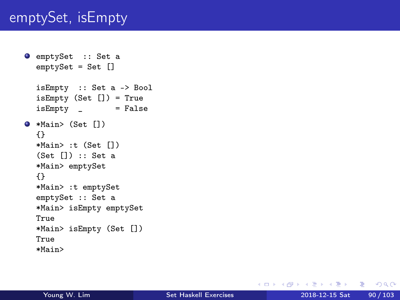#### emptySet, isEmpty

```
O emptySet :: Set a
  emptySet = Set []
  isEmpty :: Set a -> Bool
  isEmpty (Set []) = True
  isEmpty = False\bullet *Main> (Set [])
  {}
  *Main> :t (Set [])
  (Set []) :: Set a
  *Main> emptySet
  {}
  *Main> :t emptySet
  emptySet :: Set a
  *Main> isEmpty emptySet
  True
  *Main> isEmpty (Set [])
  True
  *Main>
```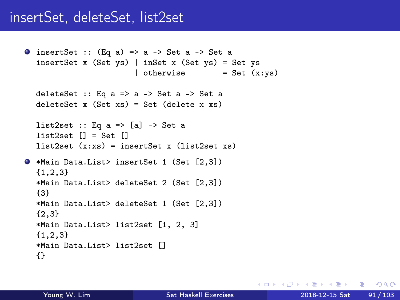#### insertSet, deleteSet, list2set

```
\bullet insertSet :: (Eq a) => a -> Set a -> Set a
  insertSet x (Set ys) | inSet x (Set ys) = Set ys
                         | otherwise = Set (x:ys)deleteSet :: Eq a \Rightarrow a \Rightarrow Set a \Rightarrow Set a
  delet x (Set xs) = Set (delete x xs)
  list2set :: Eq a \Rightarrow [a] \Rightarrow Set a
  list2set [] = Set []list2set (x:xs) = insertSet x (list2set xs)*Main Data.List> insertSet 1 (Set [2,3])
  {1,2,3}
  *Main Data.List> deleteSet 2 (Set [2,3])
  {3}
  *Main Data.List> deleteSet 1 (Set [2,3])
  {2,3}
  *Main Data.List> list2set [1, 2, 3]
  {1,2,3}
  *Main Data.List> list2set []
  {}
```
K □ ▶ K @ ▶ K 로 ▶ K 로 ▶ 『 콘 │ ⊙ Q ⊙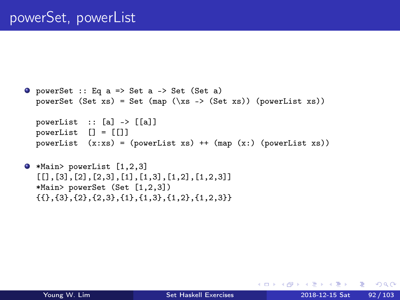```
\bullet powerSet :: Eq a => Set a -> Set (Set a)
  powerSet (Set xs) = Set (map (\x s \rightarrow \text{Set xs}) (powerList xs))
  powerList :: [a] -> [[a]]
  powerList [] = [[]]
  powerList (x:xs) = (powerList xs) + (map (x:) (powerList xs))
```

```
*Main> powerList [1,2,3]
   [[],[3],[2],[2,3],[1],[1,3],[1,2],[1,2,3]]
  *Main> powerSet (Set [1,2,3])
  \{\{\},\{\{3\},\{2\},\{2,3\},\{1\},\{1,3\},\{1,2\},\{1,2,3\}\}\
```
KED KARD KED KED E YORA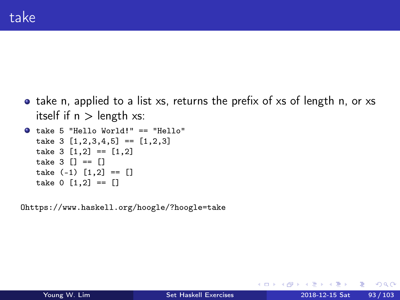• take n, applied to a list xs, returns the prefix of xs of length n, or xs itself if  $n >$  length  $xs$ :

```
take 5 "Hello World!" == "Hello"
  take 3 [1,2,3,4,5] = [1,2,3]take 3 [1,2] == [1,2]take 3 \mid 1 == 1take (-1) [1,2] = [take 0 [1,2] == []
```
Ohttps://www.haskell.org/hoogle/?hoogle=take

G.

 $QQ$ 

 $\overline{AB}$  ) and  $\overline{B}$  ) and  $\overline{B}$  ) and

4 D F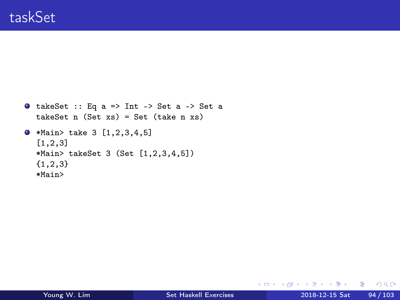```
\bullet takeSet :: Eq a => Int -> Set a -> Set a
  takeSet n (Set xs) = Set (take n xs)
\bullet *Main> take 3 [1,2,3,4,5]
  [1,2,3]
  *Main> takeSet 3 (Set [1,2,3,4,5])
  {1,2,3}
  *Main>
```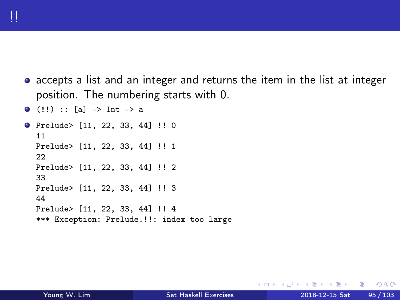accepts a list and an integer and returns the item in the list at integer position. The numbering starts with 0.

```
\bullet (!!) :: [a] -> Int -> a
Prelude> [11, 22, 33, 44] !! 0
  11
  Prelude> [11, 22, 33, 44] !! 1
  22
  Prelude> [11, 22, 33, 44] !! 2
  33
  Prelude> [11, 22, 33, 44] !! 3
  44
  Prelude> [11, 22, 33, 44] !! 4
  *** Exception: Prelude.!!: index too large
```
4 0 8

 $QQ$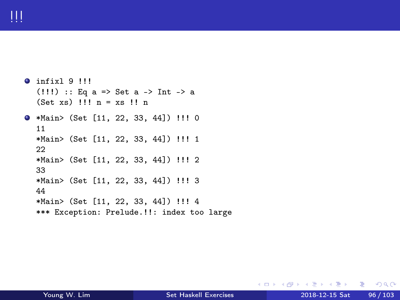```
O infixl 9 !!!
  (!!!) :: Eq a => Set a -> Int -> a
  (Set xs) !!! n = xs !! n
*Main> (Set [11, 22, 33, 44]) !!! 0
  11
  *Main> (Set [11, 22, 33, 44]) !!! 1
  22
  *Main> (Set [11, 22, 33, 44]) !!! 2
  33
  *Main> (Set [11, 22, 33, 44]) !!! 3
  44
  *Main> (Set [11, 22, 33, 44]) !!! 4
  *** Exception: Prelude.!!: index too large
```
イロト イ押 トイヨ トイヨト

 $E = \Omega Q$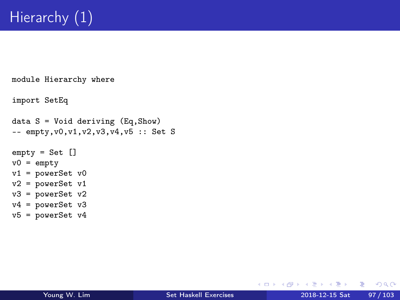```
module Hierarchy where
import SetEq
data S = Void deriving (Eq, Show)-- empty, v0, v1, v2, v3, v4, v5 :: Set S
empty = Set []
v0 = emptyv1 = powerSet v0v2 = powerSet v1v3 = powerSet v2v4 = powerSet v3v5 = powerSet v4
```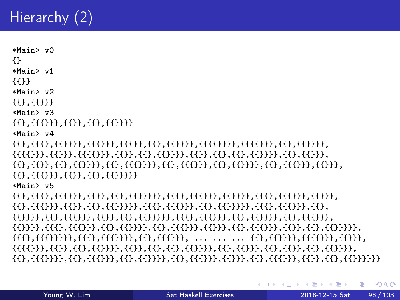## Hierarchy (2)

```
*Main> v0{ }*Main> v1
{11}*Main> v?
{f{f}},{f{f}}*Main> v3
\{\{\{\{\}\},\{\{\}\},\{\{\}\},\{\{\}\}\}*Main> v4
\{\{\},\{\{\{\}\}\},\{\{\{\}\}\},\{\{\{\}\}\},\{\{\{\}\}\},\{\{\{\}\}\}\},\{\{\{\{\}\}\}\}\}, {{{{}}}}, {{{{}}}}, {{{{}}}}, {{}}}}, {}
\{\{\},\{\{\}\},\{\{\},\{\{\}\}\},\{\{\},\{\{\}\}\}\}, {{{}}}}, {{}}}, {{}}}, {{}}}, {{}}}, {{}}}, {{}}}, {{}}}}, {{}}}}, {{}}}}, {{}}}}, {{}}}}, {{}}}}, {{}}}}, {{}}}}, {{}}}}, {{}}}}, {{}}}}, {{}}}}, {{}}}}, {{}}}}, {{}}}}, {{}}}}, {{}}}}, 
{{{{}}}},}}},}},}},}}},}}}
*Main> v5
. {{{}}, {{{}}}, {{}}}, {{}}}, {{{}}}, {{}}}, {{}}}, {{}}}, {{}}}, {}}}, {}}}, {}}}, {}}}, {}}}, {}}
{{}},{{{}}},{{}},{{}}}},{{{}}}},{{{}}},{{}}}},{{}}}},{{}}}},{{}}}},{{}}}},{{}}}},
\{\{\}\}, \{\{\}\}, \{\{\{\}\}, \{\{\{\}\}, \{\{\{\}\}\}, \{\{\{\}\}\}\}, \{\{\{\}\}\}, \{\{\{\}\}\}, \{\{\{\}\}\}\} \}\{\{\{\}\},\{\{\{\}\}\}\},\{\{\{\}\}\},\{\{\{\}\}\}\},\{\{\{\}\}\}\}, { \{\{\}\},\{\{\{\}\}\}\}, ... ... ... \{\{\}\}, { \{\{\{\}\}\}\}}, { \{\{\{\}\}\}}, { \{\{\}\}}, { \{\{\}\}}, { \{\{\}\}}, { \{\{\}\}}, { \{\{\}\}}, { \{\{\}\}}, { \{\{\}\}}, { \{\{\}\}}, { \{\{\}\}}, { \{\{\{\{\}\},\{\{\}\},\{\{\}\},\{\{\}\},\{\{\}\}\}\}, {{}}}}, {{}}, {{}}}}, {{}}, {{}}}, {{}}}, {{}}}}, {{}}}}, {{}}}}, {{}}}}, {{}}}}, {{}}}}, {{}}}}, {{}}}}, {{}}}}, {{}}}}, {{}}}}, {{}}}}, {{}}}}, {{}}}}, {{}}}}, {{}}}}, {{}}}}, {{}}}}, {{
```
KED KARD KED KED E YORA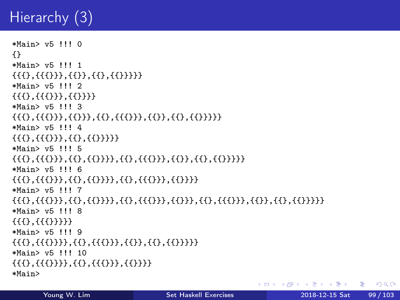## Hierarchy  $(3)$

```
*Main> v5 !!! 0
{1}*Main> v5 !!! 1
\{\{\{\{\}\},\{\{\}\},\{\{\}\},\{\{\}\}\}*Main> v5 111 2\{\{\{\}\},\{\{\{\}\}\},\{\{\{\}\}\}\}*Main> v5 !!! 3
\{\{\{\{\}\},\{\{\{\}\}\},\{\{\}\},\{\{\}\}\},\{\{\}\}\}*Main> v5 !!! 4
\{\{\{\{\}\},\{\{\}\},\{\{\}\},\{\{\}\}\}\}*Main> v5 !!! 5
\{\{\{\}\}, \{\{\{\}\}\}, \{\{\}\}, \{\{\}\}, \{\{\{\}\}\}\} \} \}*Main> v5 111 6\{\{\{\}\},\{\{\{\}\}\},\{\{\{\}\}\},\{\{\{\}\}\}\}, {{{}}}, {{}}}, {{}}}} {}
*Main> v5 !!! 7
\{\{\{\}\}, \{\{\{\}\}\}, \{\{\}\}, \{\{\}\}\} \}, {{}}}, {{}}}, {{}}}, {{}}}, {{}}}, {{}}}, {{}}}}}
*Main> v5 !!! 8
{f} {f} {f} {f} {f} {f} {f} {f} {f} {f} {f} {f}*Main> v5 !!! 9
\{\{\{\}\},\{\{\{\}\}\},\{\{\}\},\{\{\{\}\}\},\{\{\{\}\}\}\}*Main > v5 111 10
\{\{\{\{\}\},\{\{\{\}\}\},\{\{\{\}\}\},\{\{\{\}\}\}\}\}*Main>
```
KED KARD KED KED E YORA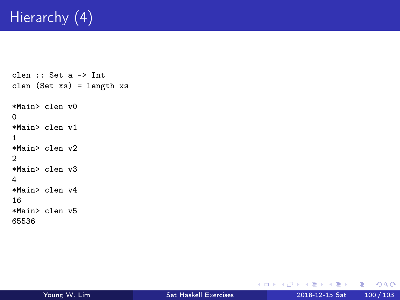## Hierarchy (4)

```
clen :: Set a -> Int
clen (Set xs) = length xs
*Main> clen v0
0
*Main> clen v1
1
*Main> clen v2
\mathfrak{D}*Main> clen v3
4
*Main> clen v4
16
*Main> clen v5
65536
```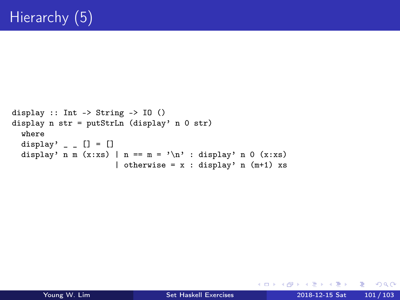```
display :: Int -> String -> IO ()
display n str = putStrLn (display' n 0 str)
  where
  display' \angle \Box \Box \Box \Boxdisplay' n m (x:xs) | n == m = '\n) : display' n 0 (x:xs)| otherwise = x : display display' n (m+1) xs
```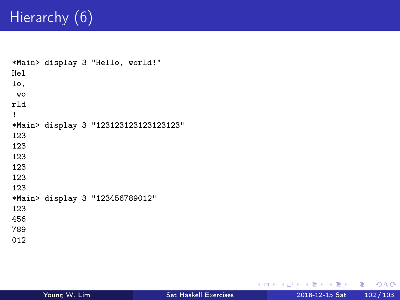## Hierarchy (6)

```
*Main> display 3 "Hello, world!"
Hel
lo,
wo
rld
!
*Main> display 3 "123123123123123123"
123
123
123
123
123
123
*Main> display 3 "123456789012"
123
456
789
012
```